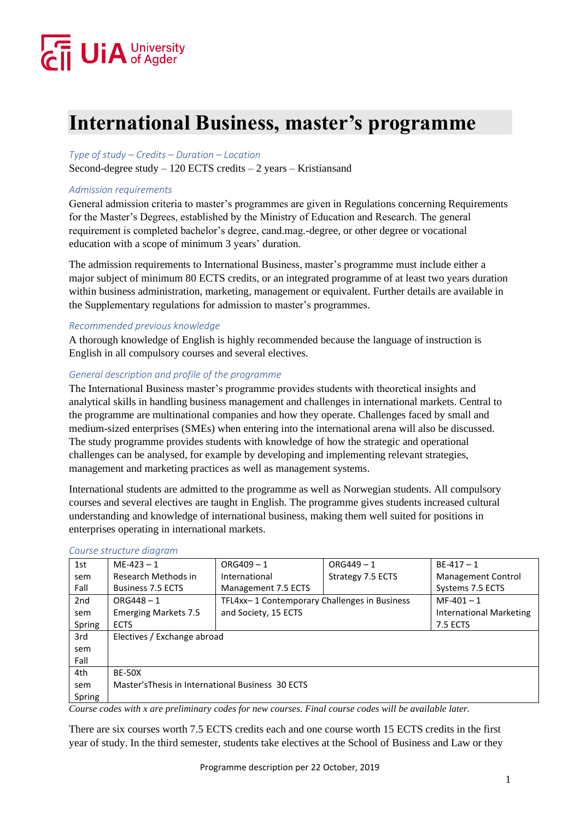# $\overline{\mathbf{j}}$  UiA University

### **International Business, master's programme**

#### *Type of study – Credits – Duration – Location*

Second-degree study  $-120$  ECTS credits  $-2$  years  $-$  Kristians and

#### *Admission requirements*

General admission criteria to master's programmes are given in Regulations concerning Requirements for the Master's Degrees, established by the Ministry of Education and Research. The general requirement is completed bachelor's degree, cand.mag.-degree, or other degree or vocational education with a scope of minimum 3 years' duration.

The admission requirements to International Business, master's programme must include either a major subject of minimum 80 ECTS credits, or an integrated programme of at least two years duration within business administration, marketing, management or equivalent. Further details are available in the Supplementary regulations for admission to master's programmes.

#### *Recommended previous knowledge*

A thorough knowledge of English is highly recommended because the language of instruction is English in all compulsory courses and several electives.

#### *General description and profile of the programme*

The International Business master's programme provides students with theoretical insights and analytical skills in handling business management and challenges in international markets. Central to the programme are multinational companies and how they operate. Challenges faced by small and medium-sized enterprises (SMEs) when entering into the international arena will also be discussed. The study programme provides students with knowledge of how the strategic and operational challenges can be analysed, for example by developing and implementing relevant strategies, management and marketing practices as well as management systems.

International students are admitted to the programme as well as Norwegian students. All compulsory courses and several electives are taught in English. The programme gives students increased cultural understanding and knowledge of international business, making them well suited for positions in enterprises operating in international markets.

| 1st    | $ME-423 - 1$                                      | $ORG409 - 1$                                 | $ORG449 - 1$      | $BE-417-1$                |
|--------|---------------------------------------------------|----------------------------------------------|-------------------|---------------------------|
| sem    | Research Methods in                               | International                                | Strategy 7.5 ECTS | <b>Management Control</b> |
| Fall   | <b>Business 7.5 ECTS</b>                          | Management 7.5 ECTS                          |                   | Systems 7.5 ECTS          |
| 2nd    | $ORG448 - 1$                                      | TFL4xx-1 Contemporary Challenges in Business |                   | $MF-401 - 1$              |
| sem    | <b>Emerging Markets 7.5</b>                       | and Society, 15 ECTS                         |                   | International Marketing   |
| Spring | <b>ECTS</b>                                       |                                              |                   | <b>7.5 ECTS</b>           |
| 3rd    | Electives / Exchange abroad                       |                                              |                   |                           |
| sem    |                                                   |                                              |                   |                           |
| Fall   |                                                   |                                              |                   |                           |
| 4th    | <b>BE-50X</b>                                     |                                              |                   |                           |
| sem    | Master's Thesis in International Business 30 ECTS |                                              |                   |                           |
| Spring |                                                   |                                              |                   |                           |

#### *Course structure diagram*

*Course codes with x are preliminary codes for new courses. Final course codes will be available later.* 

There are six courses worth 7.5 ECTS credits each and one course worth 15 ECTS credits in the first year of study. In the third semester, students take electives at the School of Business and Law or they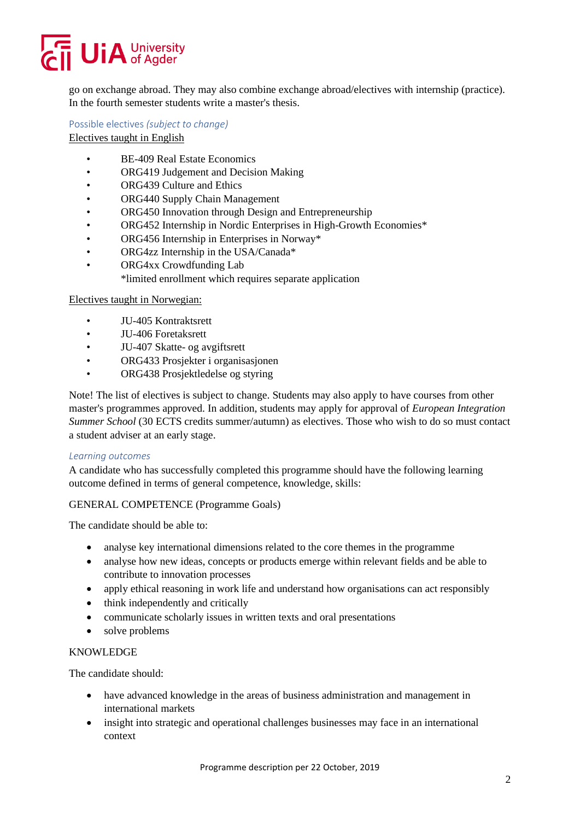## **UiA** University

go on exchange abroad. They may also combine exchange abroad/electives with internship (practice). In the fourth semester students write a master's thesis.

Possible electives *(subject to change)*

Electives taught in English

- BE-409 Real Estate Economics
- ORG419 Judgement and Decision Making
- ORG439 Culture and Ethics
- ORG440 Supply Chain Management
- ORG450 Innovation through Design and Entrepreneurship
- ORG452 Internship in Nordic Enterprises in High-Growth Economies\*
- ORG456 Internship in Enterprises in Norway\*
- ORG4zz Internship in the USA/Canada\*
- ORG4xx Crowdfunding Lab
	- \*limited enrollment which requires separate application

#### Electives taught in Norwegian:

- JU-405 Kontraktsrett
- JU-406 Foretaksrett
- JU-407 Skatte- og avgiftsrett
- ORG433 Prosjekter i organisasjonen
- ORG438 Prosjektledelse og styring

Note! The list of electives is subject to change. Students may also apply to have courses from other master's programmes approved. In addition, students may apply for approval of *European Integration Summer School* (30 ECTS credits summer/autumn) as electives. Those who wish to do so must contact a student adviser at an early stage.

#### *Learning outcomes*

A candidate who has successfully completed this programme should have the following learning outcome defined in terms of general competence, knowledge, skills:

#### GENERAL COMPETENCE (Programme Goals)

The candidate should be able to:

- analyse key international dimensions related to the core themes in the programme
- analyse how new ideas, concepts or products emerge within relevant fields and be able to contribute to innovation processes
- apply ethical reasoning in work life and understand how organisations can act responsibly
- think independently and critically
- communicate scholarly issues in written texts and oral presentations
- solve problems

#### KNOWLEDGE

The candidate should:

- have advanced knowledge in the areas of business administration and management in international markets
- insight into strategic and operational challenges businesses may face in an international context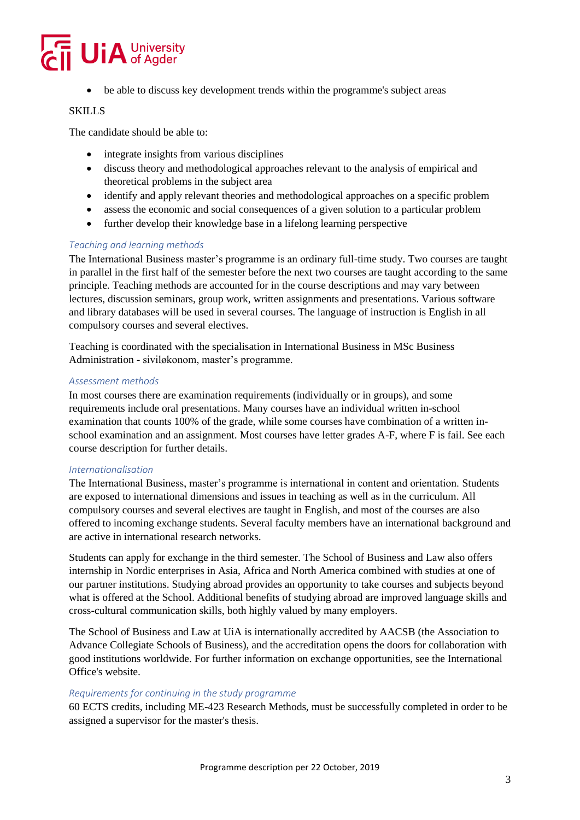

• be able to discuss key development trends within the programme's subject areas

#### SKILLS

The candidate should be able to:

- integrate insights from various disciplines
- discuss theory and methodological approaches relevant to the analysis of empirical and theoretical problems in the subject area
- identify and apply relevant theories and methodological approaches on a specific problem
- assess the economic and social consequences of a given solution to a particular problem
- further develop their knowledge base in a lifelong learning perspective

#### *Teaching and learning methods*

The International Business master's programme is an ordinary full-time study. Two courses are taught in parallel in the first half of the semester before the next two courses are taught according to the same principle. Teaching methods are accounted for in the course descriptions and may vary between lectures, discussion seminars, group work, written assignments and presentations. Various software and library databases will be used in several courses. The language of instruction is English in all compulsory courses and several electives.

Teaching is coordinated with the specialisation in International Business in MSc Business Administration - siviløkonom, master's programme.

#### *Assessment methods*

In most courses there are examination requirements (individually or in groups), and some requirements include oral presentations. Many courses have an individual written in-school examination that counts 100% of the grade, while some courses have combination of a written inschool examination and an assignment. Most courses have letter grades A-F, where F is fail. See each course description for further details.

#### *Internationalisation*

The International Business, master's programme is international in content and orientation. Students are exposed to international dimensions and issues in teaching as well as in the curriculum. All compulsory courses and several electives are taught in English, and most of the courses are also offered to incoming exchange students. Several faculty members have an international background and are active in international research networks.

Students can apply for exchange in the third semester. The School of Business and Law also offers internship in Nordic enterprises in Asia, Africa and North America combined with studies at one of our partner institutions. Studying abroad provides an opportunity to take courses and subjects beyond what is offered at the School. Additional benefits of studying abroad are improved language skills and cross-cultural communication skills, both highly valued by many employers.

The School of Business and Law at UiA is internationally accredited by AACSB (the Association to Advance Collegiate Schools of Business), and the accreditation opens the doors for collaboration with good institutions worldwide. For further information on exchange opportunities, see the International Office's website.

#### *Requirements for continuing in the study programme*

60 ECTS credits, including ME-423 Research Methods, must be successfully completed in order to be assigned a supervisor for the master's thesis.